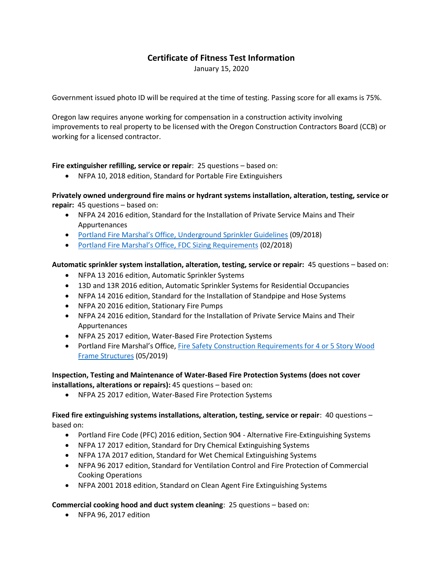# **Certificate of Fitness Test Information**

January 15, 2020

Government issued photo ID will be required at the time of testing. Passing score for all exams is 75%.

Oregon law requires anyone working for compensation in a construction activity involving improvements to real property to be licensed with the Oregon Construction Contractors Board (CCB) or working for a licensed contractor.

## **Fire extinguisher refilling, service or repair**: 25 questions – based on:

• NFPA 10, 2018 edition, Standard for Portable Fire Extinguishers

## **Privately owned underground fire mains or hydrant systems installation, alteration, testing, service or repair:** 45 questions – based on:

- NFPA 24 2016 edition, Standard for the Installation of Private Service Mains and Their Appurtenances
- Portland Fire Marshal's Office[, Underground Sprinkler Guidelines](https://www.portlandoregon.gov/fire/article/699435) (09/2018)
- [Portland Fire Ma](https://www.portlandoregon.gov/fire/article/699436)rshal's Office, FDC Sizing Requirements (02/2018)

#### **Automatic sprinkler system installation, alteration, testing, service or repair:** 45 questions – based on:

- NFPA 13 2016 edition, Automatic Sprinkler Systems
- 13D and 13R 2016 edition, Automatic Sprinkler Systems for Residential Occupancies
- NFPA 14 2016 edition, Standard for the Installation of Standpipe and Hose Systems
- NFPA 20 2016 edition, Stationary Fire Pumps
- NFPA 24 2016 edition, Standard for the Installation of Private Service Mains and Their Appurtenances
- NFPA 25 2017 edition, Water-Based Fire Protection Systems
- Portland Fire Marshal's Office, Fire Safety Construction Requirements for 4 or 5 Story Wood [Frame Structures](https://www.portlandoregon.gov/fire/article/515098) (05/2019)

## **Inspection, Testing and Maintenance of Water-Based Fire Protection Systems (does not cover installations, alterations or repairs):** 45 questions – based on:

• NFPA 25 2017 edition, Water-Based Fire Protection Systems

## **Fixed fire extinguishing systems installations, alteration, testing, service or repair**: 40 questions – based on:

- Portland Fire Code (PFC) 2016 edition, Section 904 Alternative Fire-Extinguishing Systems
- NFPA 17 2017 edition, Standard for Dry Chemical Extinguishing Systems
- NFPA 17A 2017 edition, Standard for Wet Chemical Extinguishing Systems
- NFPA 96 2017 edition, Standard for Ventilation Control and Fire Protection of Commercial Cooking Operations
- NFPA 2001 2018 edition, Standard on Clean Agent Fire Extinguishing Systems

#### **Commercial cooking hood and duct system cleaning**: 25 questions – based on:

• NFPA 96, 2017 edition